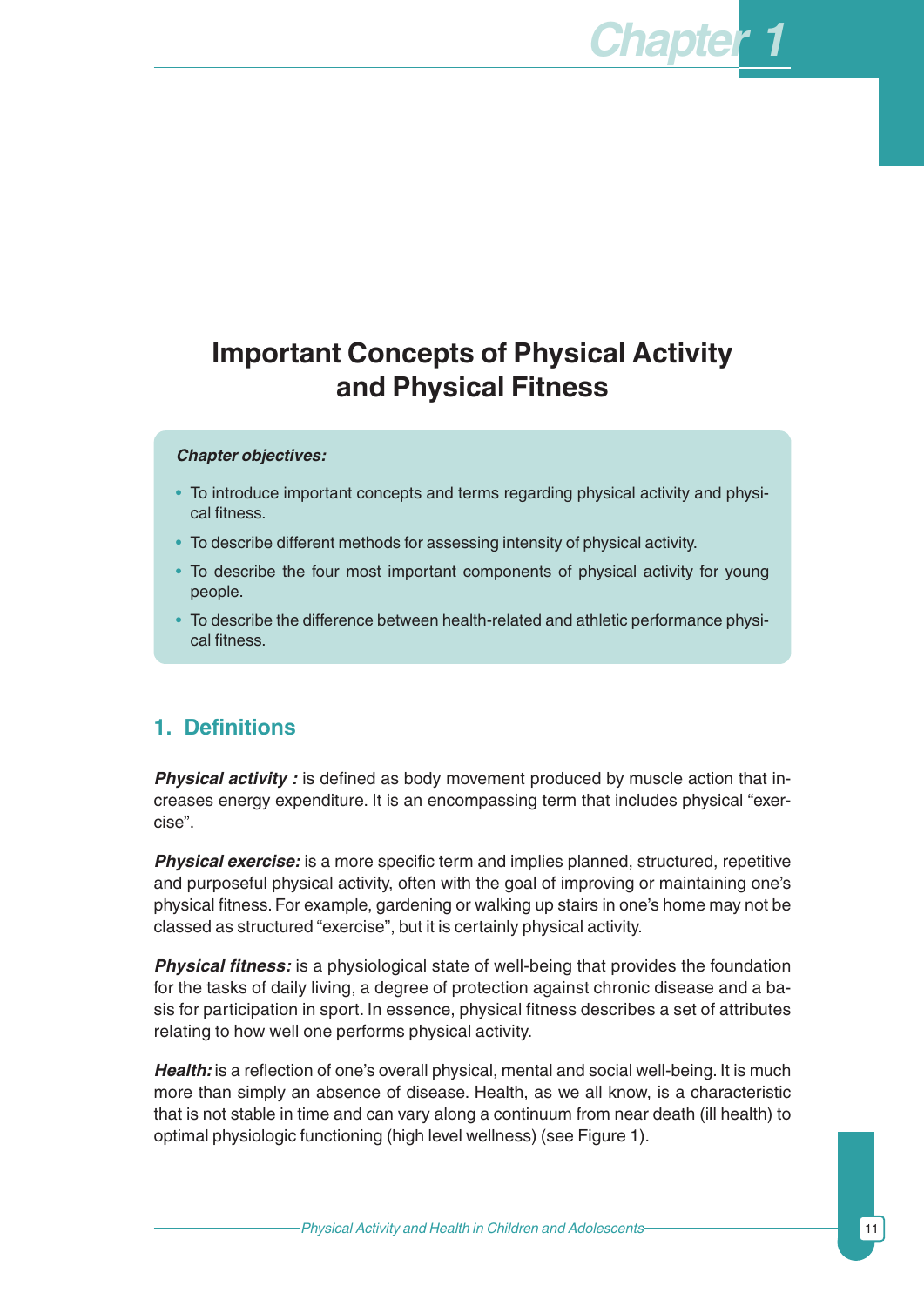# **Important Concepts of Physical Activity and Physical Fitness**

#### *Chapter objectives:*

- To introduce important concepts and terms regarding physical activity and physical fitness.
- To describe different methods for assessing intensity of physical activity.
- To describe the four most important components of physical activity for young people.
- To describe the difference between health-related and athletic performance physical fitness.

# **1. Definitions**

**Physical activity**: is defined as body movement produced by muscle action that increases energy expenditure. It is an encompassing term that includes physical "exercise".

**Physical exercise:** is a more specific term and implies planned, structured, repetitive and purposeful physical activity, often with the goal of improving or maintaining one's physical fitness. For example, gardening or walking up stairs in one's home may not be classed as structured "exercise", but it is certainly physical activity.

*Physical fitness:* is a physiological state of well-being that provides the foundation for the tasks of daily living, a degree of protection against chronic disease and a basis for participation in sport. In essence, physical fitness describes a set of attributes relating to how well one performs physical activity.

*Health:* is a reflection of one's overall physical, mental and social well-being. It is much more than simply an absence of disease. Health, as we all know, is a characteristic that is not stable in time and can vary along a continuum from near death (ill health) to optimal physiologic functioning (high level wellness) (see Figure 1).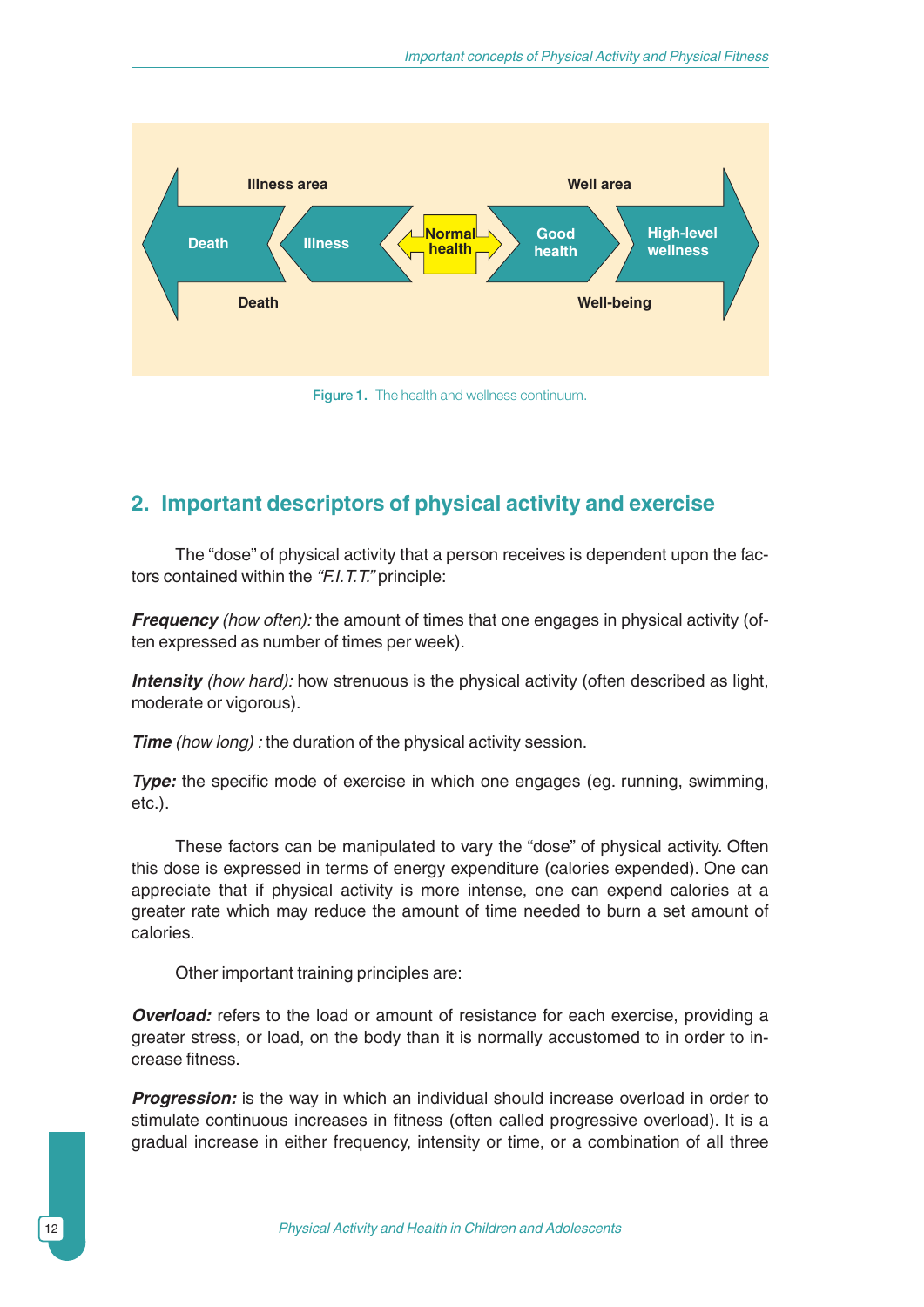

Figure 1. The health and wellness continuum.

# **2. Important descriptors of physical activity and exercise**

The "dose" of physical activity that a person receives is dependent upon the factors contained within the *"F.I.T.T."* principle:

*Frequency* (how often): the amount of times that one engages in physical activity (often expressed as number of times per week).

*Intensity (how hard):* how strenuous is the physical activity (often described as light, moderate or vigorous).

*Time* (how long): the duration of the physical activity session.

**Type:** the specific mode of exercise in which one engages (eg. running, swimming, etc.).

These factors can be manipulated to vary the "dose" of physical activity. Often this dose is expressed in terms of energy expenditure (calories expended). One can appreciate that if physical activity is more intense, one can expend calories at a greater rate which may reduce the amount of time needed to burn a set amount of calories.

Other important training principles are:

*Overload:* refers to the load or amount of resistance for each exercise, providing a greater stress, or load, on the body than it is normally accustomed to in order to increase fitness.

**Progression:** is the way in which an individual should increase overload in order to stimulate continuous increases in fitness (often called progressive overload). It is a gradual increase in either frequency, intensity or time, or a combination of all three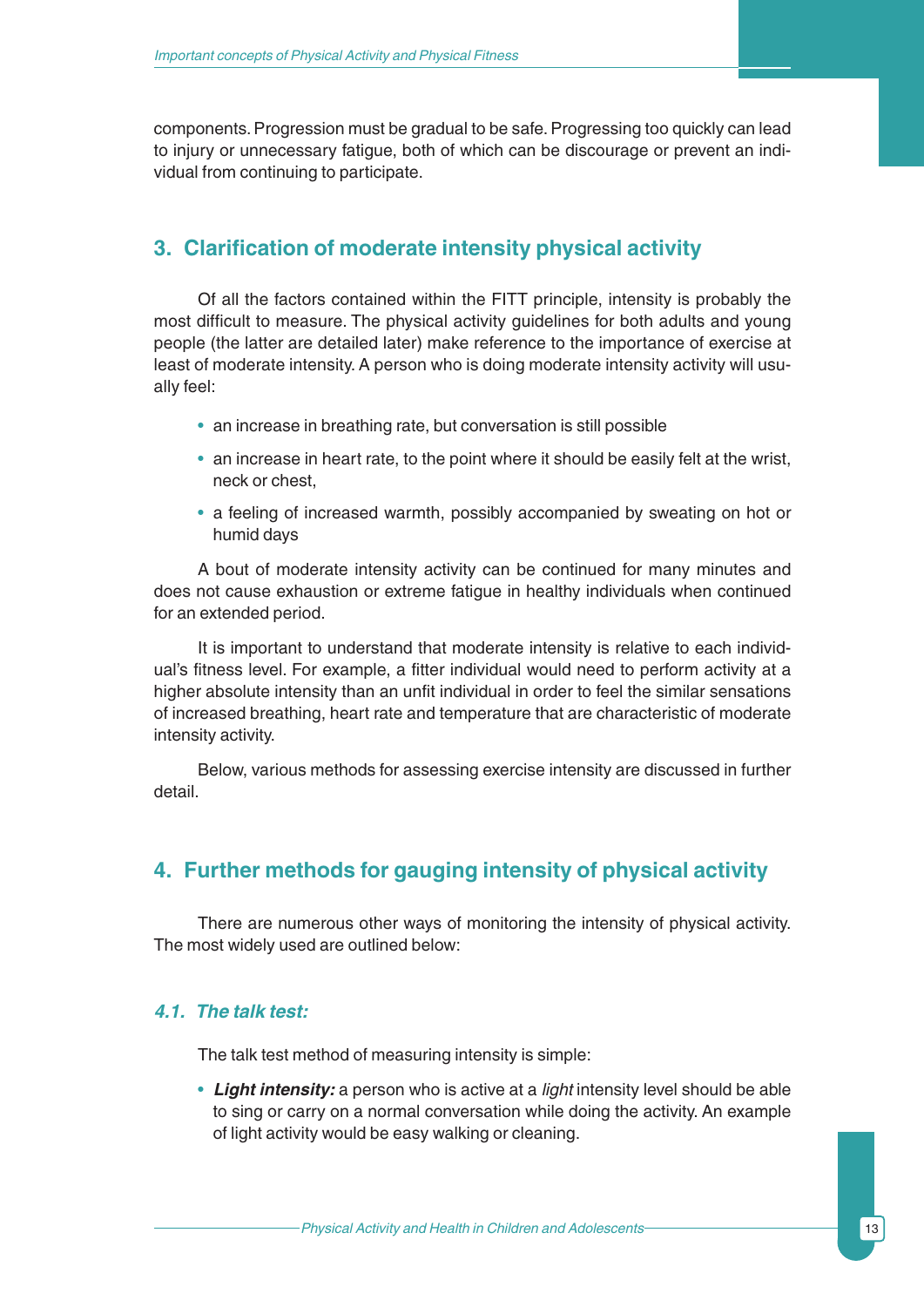components. Progression must be gradual to be safe. Progressing too quickly can lead to injury or unnecessary fatigue, both of which can be discourage or prevent an individual from continuing to participate.

### **3. Clarification of moderate intensity physical activity**

Of all the factors contained within the FITT principle, intensity is probably the most difficult to measure. The physical activity guidelines for both adults and young people (the latter are detailed later) make reference to the importance of exercise at least of moderate intensity. A person who is doing moderate intensity activity will usually feel:

- an increase in breathing rate, but conversation is still possible
- an increase in heart rate, to the point where it should be easily felt at the wrist, neck or chest,
- a feeling of increased warmth, possibly accompanied by sweating on hot or humid days

A bout of moderate intensity activity can be continued for many minutes and does not cause exhaustion or extreme fatigue in healthy individuals when continued for an extended period.

It is important to understand that moderate intensity is relative to each individual's fitness level. For example, a fitter individual would need to perform activity at a higher absolute intensity than an unfit individual in order to feel the similar sensations of increased breathing, heart rate and temperature that are characteristic of moderate intensity activity.

Below, various methods for assessing exercise intensity are discussed in further detail.

# **4. Further methods for gauging intensity of physical activity**

There are numerous other ways of monitoring the intensity of physical activity. The most widely used are outlined below:

### *4.1. The talk test:*

The talk test method of measuring intensity is simple:

• *Light intensity:* a person who is active at a *light* intensity level should be able to sing or carry on a normal conversation while doing the activity. An example of light activity would be easy walking or cleaning.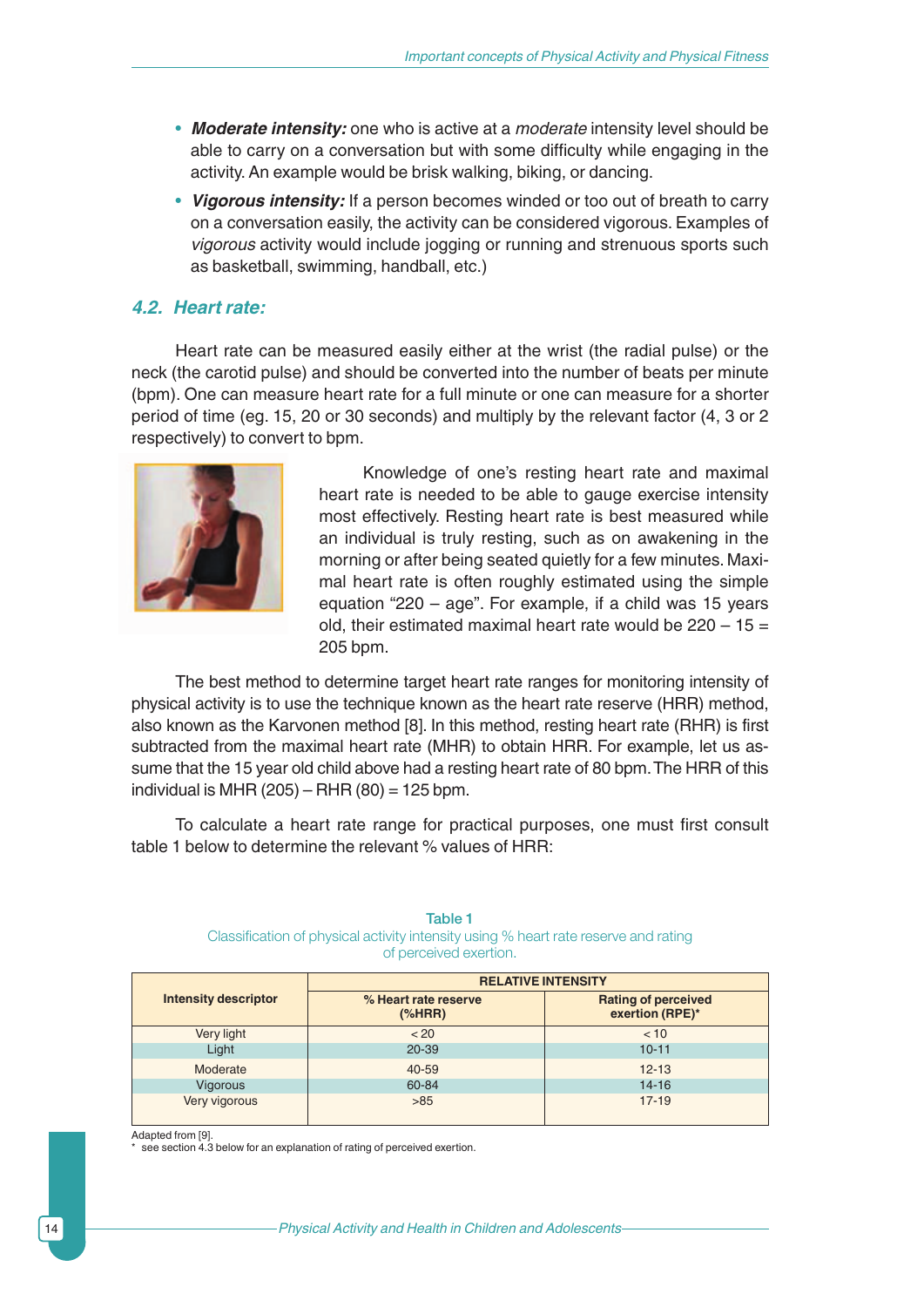- *Moderate intensity:* one who is active at a *moderate* intensity level should be able to carry on a conversation but with some difficulty while engaging in the activity. An example would be brisk walking, biking, or dancing.
- *Vigorous intensity:* If a person becomes winded or too out of breath to carry on a conversation easily, the activity can be considered vigorous. Examples of *vigorous* activity would include jogging or running and strenuous sports such as basketball, swimming, handball, etc.)

#### *4.2. Heart rate:*

Heart rate can be measured easily either at the wrist (the radial pulse) or the neck (the carotid pulse) and should be converted into the number of beats per minute (bpm). One can measure heart rate for a full minute or one can measure for a shorter period of time (eg. 15, 20 or 30 seconds) and multiply by the relevant factor (4, 3 or 2 respectively) to convert to bpm.



Knowledge of one's resting heart rate and maximal heart rate is needed to be able to gauge exercise intensity most effectively. Resting heart rate is best measured while an individual is truly resting, such as on awakening in the morning or after being seated quietly for a few minutes. Maximal heart rate is often roughly estimated using the simple equation "220 – age". For example, if a child was 15 years old, their estimated maximal heart rate would be  $220 - 15 =$ 205 bpm.

The best method to determine target heart rate ranges for monitoring intensity of physical activity is to use the technique known as the heart rate reserve (HRR) method, also known as the Karvonen method [8]. In this method, resting heart rate (RHR) is first subtracted from the maximal heart rate (MHR) to obtain HRR. For example, let us assume that the 15 year old child above had a resting heart rate of 80 bpm.The HRR of this individual is MHR (205) – RHR (80) = 125 bpm.

To calculate a heart rate range for practical purposes, one must first consult table 1 below to determine the relevant % values of HRR:

#### **RELATIVE INTENSITY Intensity descriptor % Heart rate reserve Rating of perceived exertion (RPE)\*** Very light < 20 < 10 Light 20-39 10-11

Moderate 40-59 12-13 Vigorous 60-84 14-16 Very vigorous and the set of the set of the set of the set of the set of the set of the set of the set of the s

Table 1

Classification of physical activity intensity using % heart rate reserve and rating of perceived exertion.

Adapted from [9].

see section 4.3 below for an explanation of rating of perceived exertion.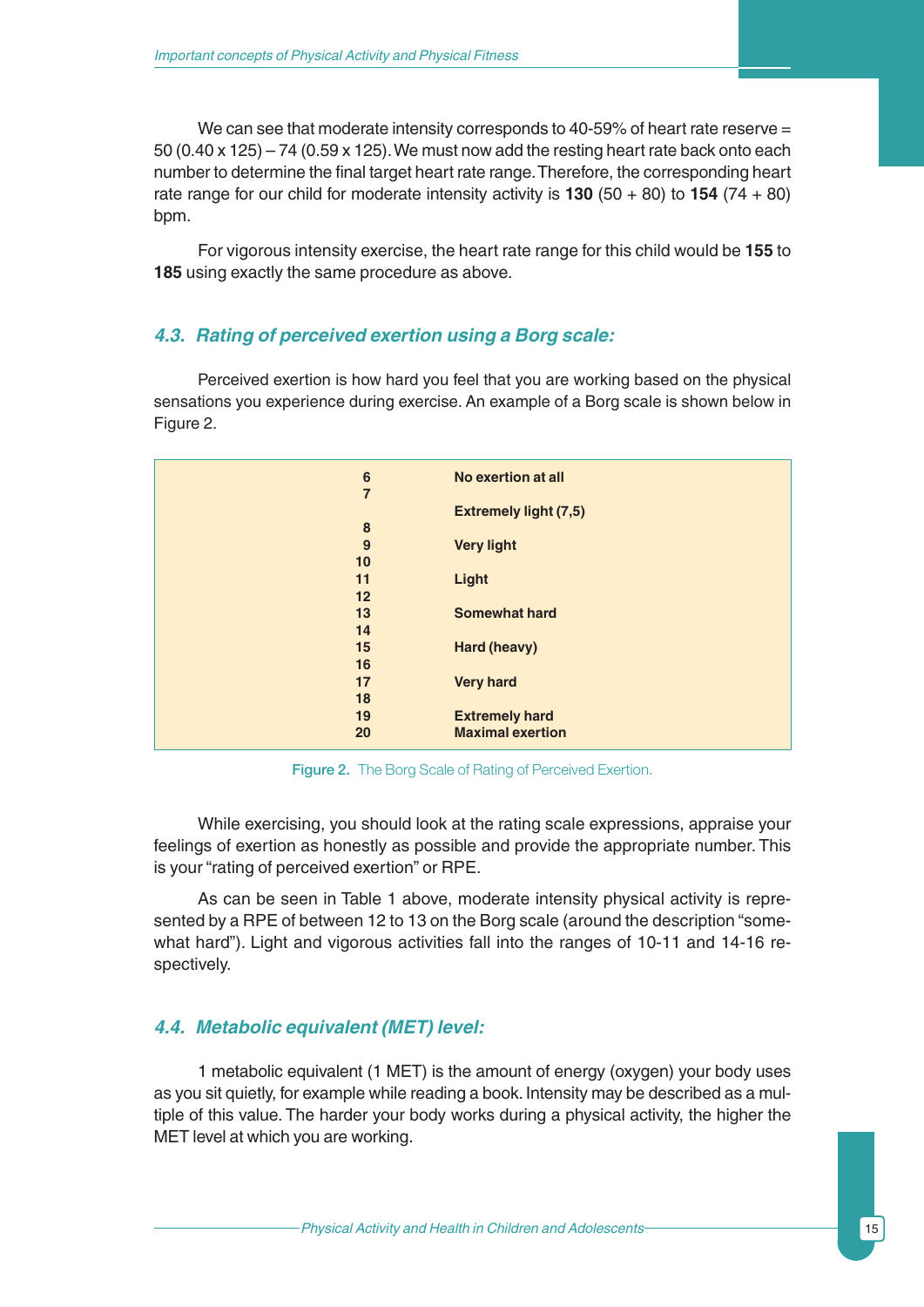We can see that moderate intensity corresponds to 40-59% of heart rate reserve =  $50 (0.40 x 125) - 74 (0.59 x 125)$ . We must now add the resting heart rate back onto each number to determine the final target heart rate range.Therefore, the corresponding heart rate range for our child for moderate intensity activity is **130** (50 + 80) to **154** (74 + 80) bpm.

For vigorous intensity exercise, the heart rate range for this child would be **155** to **185** using exactly the same procedure as above.

#### *4.3. Rating of perceived exertion using a Borg scale:*

Perceived exertion is how hard you feel that you are working based on the physical sensations you experience during exercise. An example of a Borg scale is shown below in Figure 2.

| 6              | No exertion at all           |
|----------------|------------------------------|
| $\overline{7}$ |                              |
|                | <b>Extremely light (7,5)</b> |
| 8              |                              |
| 9              | <b>Very light</b>            |
| 10             |                              |
| 11             | Light                        |
| 12             |                              |
| 13             | <b>Somewhat hard</b>         |
| 14             |                              |
| 15             | Hard (heavy)                 |
| 16             |                              |
| 17             | <b>Very hard</b>             |
| 18             |                              |
| 19             | <b>Extremely hard</b>        |
| 20             | <b>Maximal exertion</b>      |
|                |                              |

Figure 2. The Borg Scale of Rating of Perceived Exertion.

While exercising, you should look at the rating scale expressions, appraise your feelings of exertion as honestly as possible and provide the appropriate number. This is your "rating of perceived exertion" or RPE.

As can be seen in Table 1 above, moderate intensity physical activity is represented by a RPE of between 12 to 13 on the Borg scale (around the description "somewhat hard"). Light and vigorous activities fall into the ranges of 10-11 and 14-16 respectively.

### *4.4. Metabolic equivalent (MET) level:*

1 metabolic equivalent (1 MET) is the amount of energy (oxygen) your body uses as you sit quietly, for example while reading a book. Intensity may be described as a multiple of this value. The harder your body works during a physical activity, the higher the MET level at which you are working.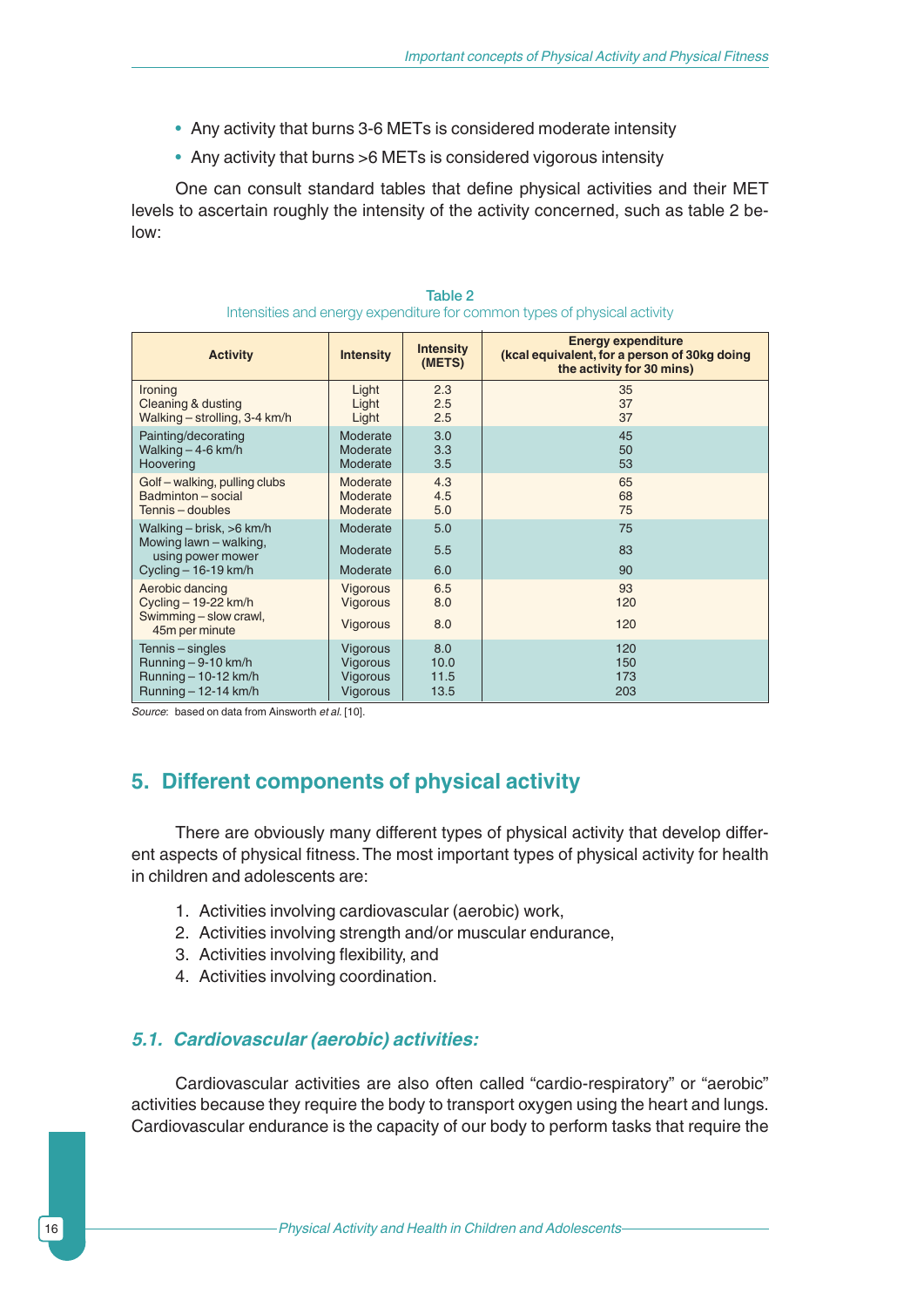- Any activity that burns 3-6 METs is considered moderate intensity
- Any activity that burns >6 METs is considered vigorous intensity

One can consult standard tables that define physical activities and their MET levels to ascertain roughly the intensity of the activity concerned, such as table 2 below:

| <b>Activity</b>                                                                                      | <b>Intensity</b>                 | <b>Intensity</b><br>(METS) | <b>Energy expenditure</b><br>(kcal equivalent, for a person of 30kg doing<br>the activity for 30 mins) |
|------------------------------------------------------------------------------------------------------|----------------------------------|----------------------------|--------------------------------------------------------------------------------------------------------|
| Ironing                                                                                              | Light                            | 2.3                        | 35                                                                                                     |
| Cleaning & dusting                                                                                   | Light                            | 2.5                        | 37                                                                                                     |
| Walking - strolling, 3-4 km/h                                                                        | Light                            | 2.5                        | 37                                                                                                     |
| Painting/decorating                                                                                  | Moderate                         | 3.0                        | 45                                                                                                     |
| Walking $-4-6$ km/h                                                                                  | Moderate                         | 3.3                        | 50                                                                                                     |
| Hoovering                                                                                            | Moderate                         | 3.5                        | 53                                                                                                     |
| Golf – walking, pulling clubs                                                                        | Moderate                         | 4.3                        | 65                                                                                                     |
| Badminton - social                                                                                   | Moderate                         | 4.5                        | 68                                                                                                     |
| Tennis - doubles                                                                                     | Moderate                         | 5.0                        | 75                                                                                                     |
| Walking $-$ brisk, $>6$ km/h<br>Mowing lawn - walking,<br>using power mower<br>Cycling $-16-19$ km/h | Moderate<br>Moderate<br>Moderate | 5.0<br>5.5<br>6.0          | 75<br>83<br>90                                                                                         |
| Aerobic dancing<br>Cycling $-$ 19-22 km/h<br>Swimming - slow crawl,<br>45m per minute                | Vigorous<br>Vigorous<br>Vigorous | 6.5<br>8.0<br>8.0          | 93<br>120<br>120                                                                                       |
| Tennis – singles                                                                                     | Vigorous                         | 8.0                        | 120                                                                                                    |
| Running - 9-10 km/h                                                                                  | Vigorous                         | 10.0                       | 150                                                                                                    |
| Running $-10-12$ km/h                                                                                | Vigorous                         | 11.5                       | 173                                                                                                    |
| Running $-12-14$ km/h                                                                                | Vigorous                         | 13.5                       | 203                                                                                                    |

#### Table 2 Intensities and energy expenditure for common types of physical activity

*Source*: based on data from Ainsworth *et al.* [10].

# **5. Different components of physical activity**

There are obviously many different types of physical activity that develop different aspects of physical fitness. The most important types of physical activity for health in children and adolescents are:

- 1. Activities involving cardiovascular (aerobic) work,
- 2. Activities involving strength and/or muscular endurance,
- 3. Activities involving flexibility, and
- 4. Activities involving coordination.

#### *5.1. Cardiovascular (aerobic) activities:*

Cardiovascular activities are also often called "cardio-respiratory" or "aerobic" activities because they require the body to transport oxygen using the heart and lungs. Cardiovascular endurance is the capacity of our body to perform tasks that require the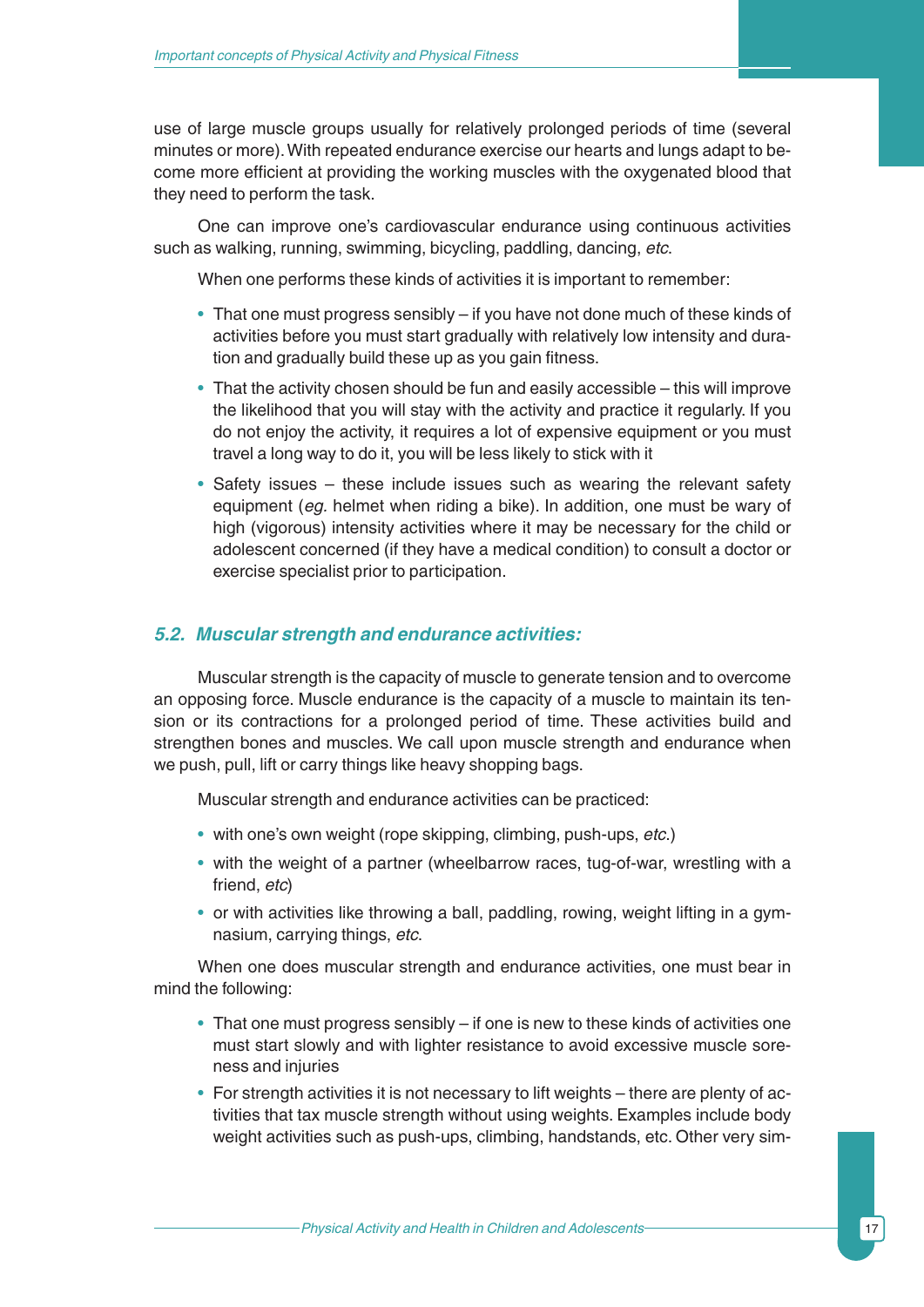use of large muscle groups usually for relatively prolonged periods of time (several minutes or more).With repeated endurance exercise our hearts and lungs adapt to become more efficient at providing the working muscles with the oxygenated blood that they need to perform the task.

One can improve one's cardiovascular endurance using continuous activities such as walking, running, swimming, bicycling, paddling, dancing, *etc*.

When one performs these kinds of activities it is important to remember:

- That one must progress sensibly if you have not done much of these kinds of activities before you must start gradually with relatively low intensity and duration and gradually build these up as you gain fitness.
- That the activity chosen should be fun and easily accessible this will improve the likelihood that you will stay with the activity and practice it regularly. If you do not enjoy the activity, it requires a lot of expensive equipment or you must travel a long way to do it, you will be less likely to stick with it
- Safety issues these include issues such as wearing the relevant safety equipment (*eg.* helmet when riding a bike). In addition, one must be wary of high (vigorous) intensity activities where it may be necessary for the child or adolescent concerned (if they have a medical condition) to consult a doctor or exercise specialist prior to participation.

#### *5.2. Muscular strength and endurance activities:*

Muscular strength is the capacity of muscle to generate tension and to overcome an opposing force. Muscle endurance is the capacity of a muscle to maintain its tension or its contractions for a prolonged period of time. These activities build and strengthen bones and muscles. We call upon muscle strength and endurance when we push, pull, lift or carry things like heavy shopping bags.

Muscular strength and endurance activities can be practiced:

- with one's own weight (rope skipping, climbing, push-ups, *etc*.)
- with the weight of a partner (wheelbarrow races, tug-of-war, wrestling with a friend, *etc*)
- or with activities like throwing a ball, paddling, rowing, weight lifting in a gymnasium, carrying things, *etc*.

When one does muscular strength and endurance activities, one must bear in mind the following:

- That one must progress sensibly if one is new to these kinds of activities one must start slowly and with lighter resistance to avoid excessive muscle soreness and injuries
- For strength activities it is not necessary to lift weights there are plenty of activities that tax muscle strength without using weights. Examples include body weight activities such as push-ups, climbing, handstands, etc. Other very sim-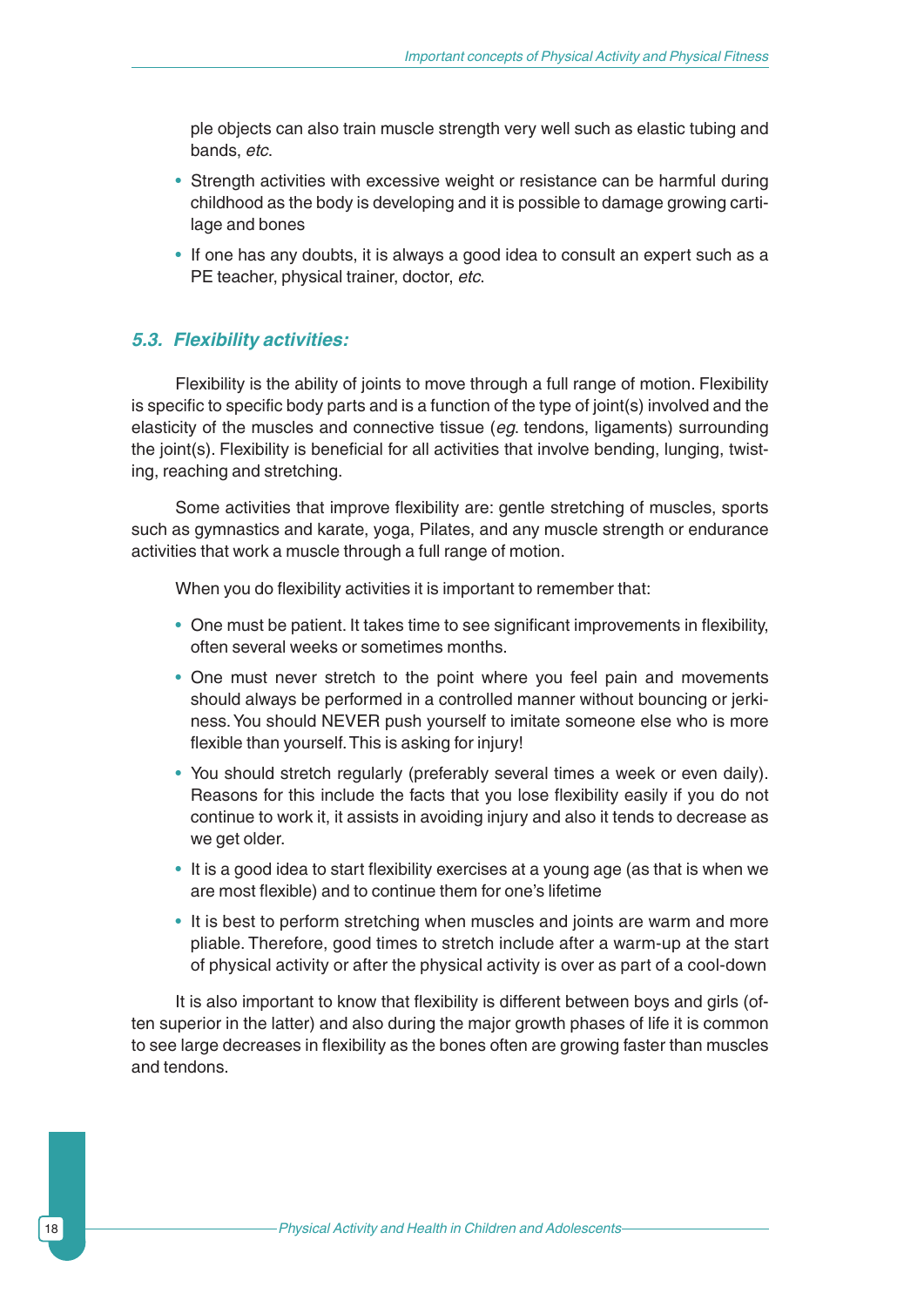ple objects can also train muscle strength very well such as elastic tubing and bands, *etc*.

- Strength activities with excessive weight or resistance can be harmful during childhood as the body is developing and it is possible to damage growing cartilage and bones
- If one has any doubts, it is always a good idea to consult an expert such as a PE teacher, physical trainer, doctor, *etc*.

#### *5.3. Flexibility activities:*

Flexibility is the ability of joints to move through a full range of motion. Flexibility is specific to specific body parts and is a function of the type of joint(s) involved and the elasticity of the muscles and connective tissue (*eg*. tendons, ligaments) surrounding the joint(s). Flexibility is beneficial for all activities that involve bending, lunging, twisting, reaching and stretching.

Some activities that improve flexibility are: gentle stretching of muscles, sports such as gymnastics and karate, yoga, Pilates, and any muscle strength or endurance activities that work a muscle through a full range of motion.

When you do flexibility activities it is important to remember that:

- One must be patient. It takes time to see significant improvements in flexibility, often several weeks or sometimes months.
- One must never stretch to the point where you feel pain and movements should always be performed in a controlled manner without bouncing or jerkiness.You should NEVER push yourself to imitate someone else who is more flexible than yourself.This is asking for injury!
- You should stretch regularly (preferably several times a week or even daily). Reasons for this include the facts that you lose flexibility easily if you do not continue to work it, it assists in avoiding injury and also it tends to decrease as we get older.
- It is a good idea to start flexibility exercises at a young age (as that is when we are most flexible) and to continue them for one's lifetime
- It is best to perform stretching when muscles and joints are warm and more pliable. Therefore, good times to stretch include after a warm-up at the start of physical activity or after the physical activity is over as part of a cool-down

It is also important to know that flexibility is different between boys and girls (often superior in the latter) and also during the major growth phases of life it is common to see large decreases in flexibility as the bones often are growing faster than muscles and tendons.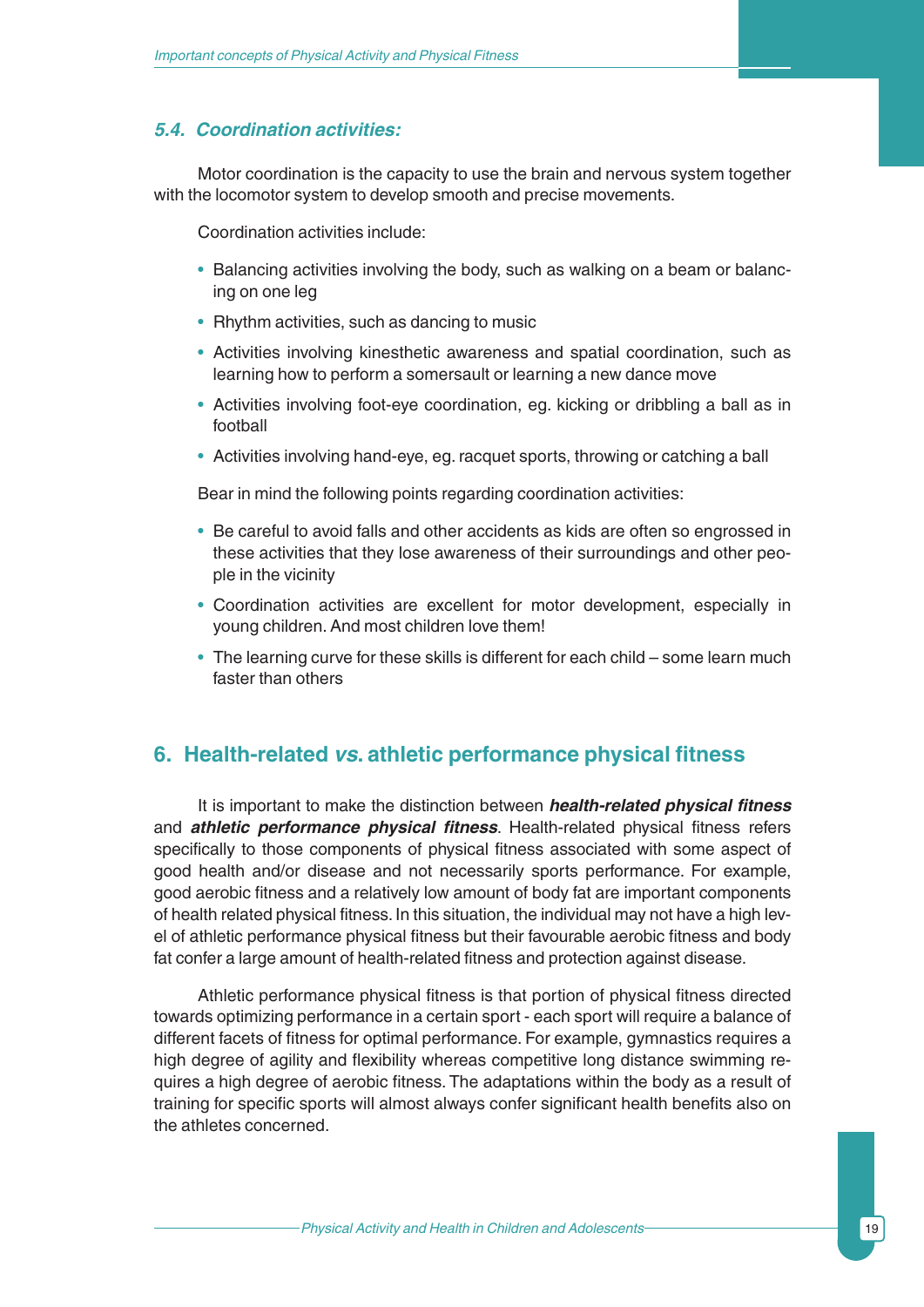#### *5.4. Coordination activities:*

Motor coordination is the capacity to use the brain and nervous system together with the locomotor system to develop smooth and precise movements.

Coordination activities include:

- Balancing activities involving the body, such as walking on a beam or balancing on one leg
- Rhythm activities, such as dancing to music
- Activities involving kinesthetic awareness and spatial coordination, such as learning how to perform a somersault or learning a new dance move
- Activities involving foot-eye coordination, eg. kicking or dribbling a ball as in football
- Activities involving hand-eye, eg. racquet sports, throwing or catching a ball

Bear in mind the following points regarding coordination activities:

- Be careful to avoid falls and other accidents as kids are often so engrossed in these activities that they lose awareness of their surroundings and other people in the vicinity
- Coordination activities are excellent for motor development, especially in young children. And most children love them!
- The learning curve for these skills is different for each child some learn much faster than others

### **6. Health-related** *vs***. athletic performance physical fitness**

It is important to make the distinction between *health-related physical fitness* and *athletic performance physical fitness*. Health-related physical fitness refers specifically to those components of physical fitness associated with some aspect of good health and/or disease and not necessarily sports performance. For example, good aerobic fitness and a relatively low amount of body fat are important components of health related physical fitness. In this situation, the individual may not have a high level of athletic performance physical fitness but their favourable aerobic fitness and body fat confer a large amount of health-related fitness and protection against disease.

Athletic performance physical fitness is that portion of physical fitness directed towards optimizing performance in a certain sport - each sport will require a balance of different facets of fitness for optimal performance. For example, gymnastics requires a high degree of agility and flexibility whereas competitive long distance swimming requires a high degree of aerobic fitness. The adaptations within the body as a result of training for specific sports will almost always confer significant health benefits also on the athletes concerned.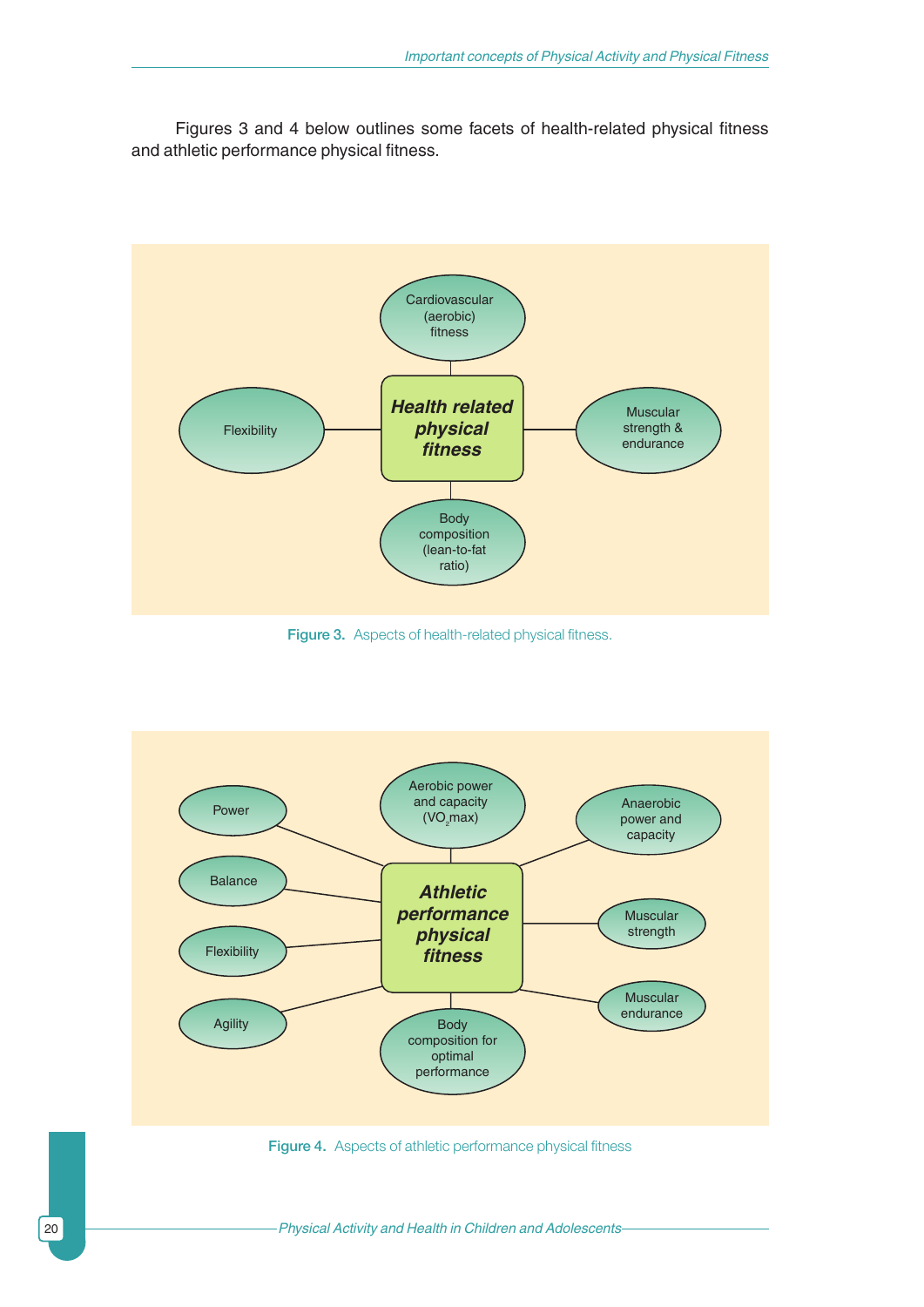Figures 3 and 4 below outlines some facets of health-related physical fitness and athletic performance physical fitness.



Figure 3. Aspects of health-related physical fitness.



Figure 4. Aspects of athletic performance physical fitness

20 **Physical Activity and Health in Children and Adolescents**